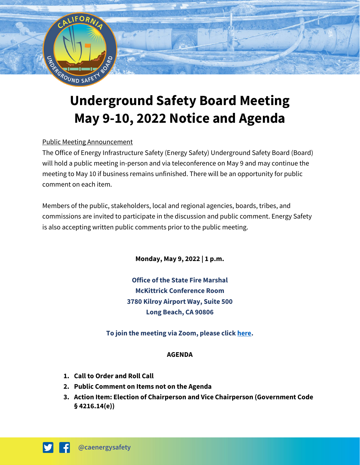

# **Underground Safety Board Meeting May 9-10, 2022 Notice and Agenda**

# Public Meeting Announcement

The Office of Energy Infrastructure Safety (Energy Safety) Underground Safety Board (Board) will hold a public meeting in-person and via teleconference on May 9 and may continue the meeting to May 10 if business remains unfinished. There will be an opportunity for public comment on each item.

Members of the public, stakeholders, local and regional agencies, boards, tribes, and commissions are invited to participate in the discussion and public comment. Energy Safety is also accepting written public comments prior to the public meeting.

**Monday, May 9, 2022 | 1 p.m.** 

**Office of the State Fire Marshal McKittrick Conference Room 3780 Kilroy Airport Way, Suite 500 Long Beach, CA 90806**

**To join the meeting via Zoom, please clic[k here.](https://us06web.zoom.us/j/85115933277)** 

#### **AGENDA**

- **1. Call to Order and Roll Call**
- **2. Public Comment on Items not on the Agenda**
- **3. Action Item: Election of Chairperson and Vice Chairperson (Government Code § 4216.14(e))**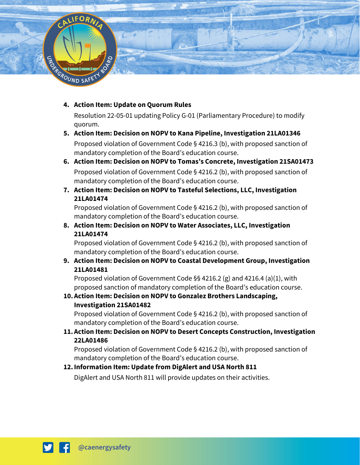

#### **4. Action Item: Update on Quorum Rules**

Resolution 22-05-01 updating Policy G-01 (Parliamentary Procedure) to modify quorum.

#### **5. Action Item: Decision on NOPV to Kana Pipeline, Investigation 21LA01346**

Proposed violation of Government Code § 4216.3 (b), with proposed sanction of mandatory completion of the Board's education course.

# **6. Action Item: Decision on NOPV to Tomas's Concrete, Investigation 21SA01473** Proposed violation of Government Code § 4216.2 (b), with proposed sanction of mandatory completion of the Board's education course.

**7. Action Item: Decision on NOPV to Tasteful Selections, LLC, Investigation 21LA01474**

Proposed violation of Government Code § 4216.2 (b), with proposed sanction of mandatory completion of the Board's education course.

**8. Action Item: Decision on NOPV to Water Associates, LLC, Investigation 21LA01474**

Proposed violation of Government Code § 4216.2 (b), with proposed sanction of mandatory completion of the Board's education course.

**9. Action Item: Decision on NOPV to Coastal Development Group, Investigation 21LA01481**

Proposed violation of Government Code §§ 4216.2 (g) and 4216.4 (a)(1), with proposed sanction of mandatory completion of the Board's education course.

# **10.Action Item: Decision on NOPV to Gonzalez Brothers Landscaping, Investigation 21SA01482**

Proposed violation of Government Code § 4216.2 (b), with proposed sanction of mandatory completion of the Board's education course.

**11.Action Item: Decision on NOPV to Desert Concepts Construction, Investigation 22LA01486**

Proposed violation of Government Code § 4216.2 (b), with proposed sanction of mandatory completion of the Board's education course.

# **12.Information Item: Update from DigAlert and USA North 811**

DigAlert and USA North 811 will provide updates on their activities.

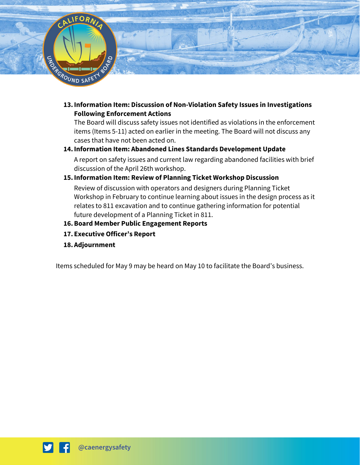

**13.Information Item: Discussion of Non-Violation Safety Issues in Investigations Following Enforcement Actions** 

The Board will discuss safety issues not identified as violations in the enforcement items (Items 5-11) acted on earlier in the meeting. The Board will not discuss any cases that have not been acted on.

#### **14.Information Item: Abandoned Lines Standards Development Update**

A report on safety issues and current law regarding abandoned facilities with brief discussion of the April 26th workshop.

# **15.Information Item: Review of Planning Ticket Workshop Discussion**

Review of discussion with operators and designers during Planning Ticket Workshop in February to continue learning about issues in the design process as it relates to 811 excavation and to continue gathering information for potential future development of a Planning Ticket in 811.

## **16.Board Member Public Engagement Reports**

- **17. Executive Officer's Report**
- **18.Adjournment**

Items scheduled for May 9 may be heard on May 10 to facilitate the Board's business.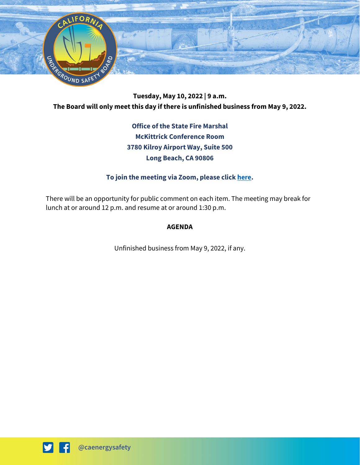

**Tuesday, May 10, 2022 | 9 a.m. The Board will only meet this day if there is unfinished business from May 9, 2022.** 

> **Office of the State Fire Marshal McKittrick Conference Room 3780 Kilroy Airport Way, Suite 500 Long Beach, CA 90806**

## **To join the meeting via Zoom, please clic[k here.](https://us06web.zoom.us/j/81248697413)**

There will be an opportunity for public comment on each item. The meeting may break for lunch at or around 12 p.m. and resume at or around 1:30 p.m.

#### **AGENDA**

Unfinished business from May 9, 2022, if any.

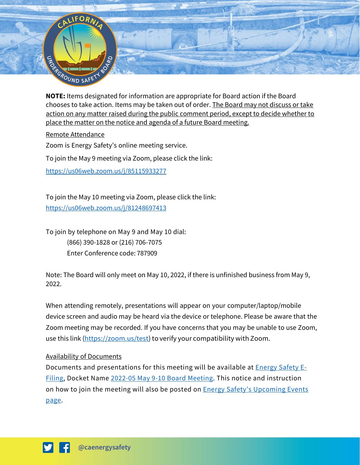

**NOTE:** Items designated for information are appropriate for Board action if the Board chooses to take action. Items may be taken out of order. The Board may not discuss or take action on any matter raised during the public comment period, except to decide whether to place the matter on the notice and agenda of a future Board meeting.

#### Remote Attendance

Zoom is Energy Safety's online meeting service.

To join the May 9 meeting via Zoom, please click the link:

<https://us06web.zoom.us/j/85115933277>

To join the May 10 meeting via Zoom, please click the link: <https://us06web.zoom.us/j/81248697413>

To join by telephone on May 9 and May 10 dial: (866) 390-1828 or (216) 706-7075 Enter Conference code: 787909

Note: The Board will only meet on May 10, 2022, if there is unfinished business from May 9, 2022.

When attending remotely, presentations will appear on your computer/laptop/mobile device screen and audio may be heard via the device or telephone. Please be aware that the Zoom meeting may be recorded. If you have concerns that you may be unable to use Zoom, use this link [\(https://zoom.us/test\)](https://zoom.us/test) to verify your compatibility with Zoom.

#### Availability of Documents

Documents and presentations for this meeting will be available at **Energy Safety E-**[Filing,](https://efiling.energysafety.ca.gov/) Docket Name [2022-05 May 9-10 Board Meeting.](https://efiling.energysafety.ca.gov/Lists/DocketLog.aspx?docketnumber=2022-05-BM) This notice and instruction on how to join the meeting will also be posted on **Energy Safety's Upcoming Events** [page.](https://energysafety.ca.gov/events-and-meetings/)